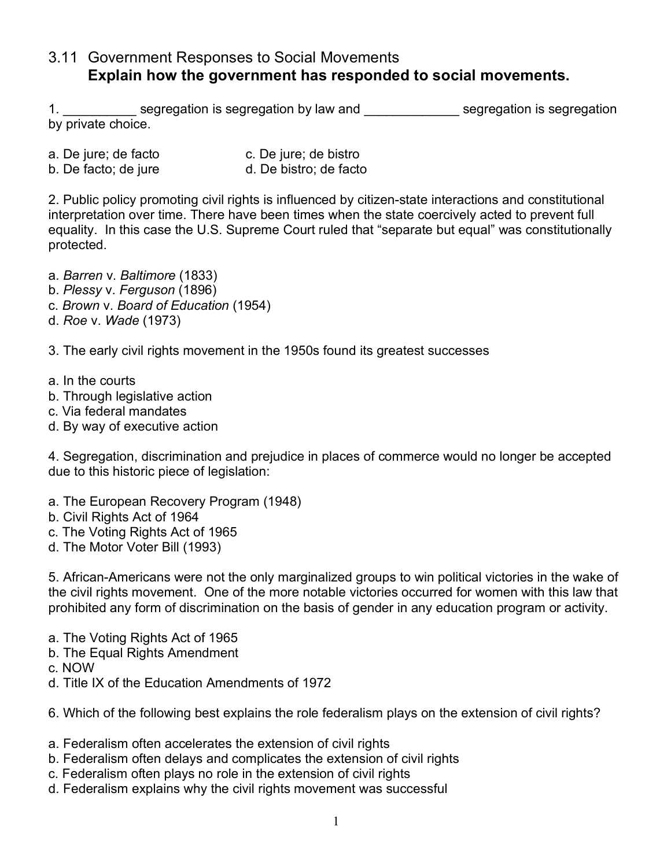## 3.11 Government Responses to Social Movements **Explain how the government has responded to social movements.**

1. Segregation is segregation by law and segregation is segregation is segregation by private choice.

- a. De jure; de facto c. De jure; de bistro
- b. De facto; de jure d. De bistro; de facto

2. Public policy promoting civil rights is influenced by citizen-state interactions and constitutional interpretation over time. There have been times when the state coercively acted to prevent full equality. In this case the U.S. Supreme Court ruled that "separate but equal" was constitutionally protected.

- a. *Barren* v. *Baltimore* (1833)
- b. *Plessy* v. *Ferguson* (1896)
- c. *Brown* v. *Board of Education* (1954)
- d. *Roe* v. *Wade* (1973)

3. The early civil rights movement in the 1950s found its greatest successes

- a. In the courts
- b. Through legislative action
- c. Via federal mandates
- d. By way of executive action

4. Segregation, discrimination and prejudice in places of commerce would no longer be accepted due to this historic piece of legislation:

- a. The European Recovery Program (1948)
- b. Civil Rights Act of 1964
- c. The Voting Rights Act of 1965
- d. The Motor Voter Bill (1993)

5. African-Americans were not the only marginalized groups to win political victories in the wake of the civil rights movement. One of the more notable victories occurred for women with this law that prohibited any form of discrimination on the basis of gender in any education program or activity.

- a. The Voting Rights Act of 1965
- b. The Equal Rights Amendment
- c. NOW
- d. Title IX of the Education Amendments of 1972

6. Which of the following best explains the role federalism plays on the extension of civil rights?

- a. Federalism often accelerates the extension of civil rights
- b. Federalism often delays and complicates the extension of civil rights
- c. Federalism often plays no role in the extension of civil rights
- d. Federalism explains why the civil rights movement was successful